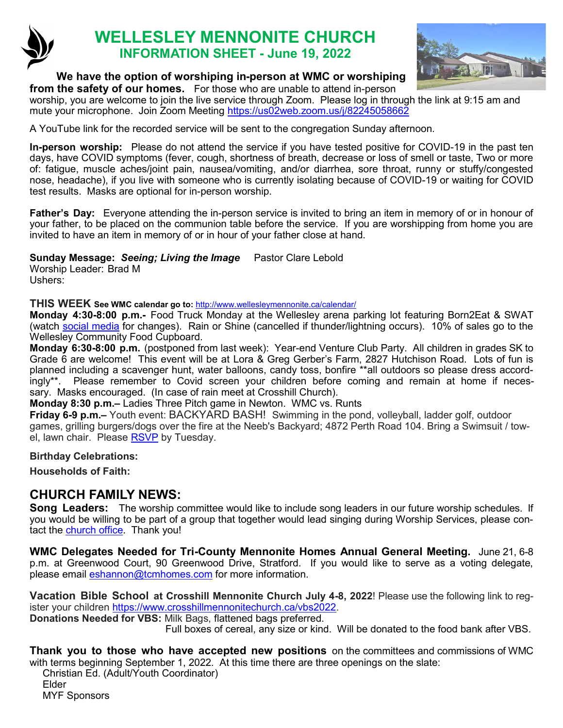

# **WELLESLEY MENNONITE CHURCH INFORMATION SHEET - June 19, 2022**



#### **We have the option of worshiping in-person at WMC or worshiping**

**from the safety of our homes.** For those who are unable to attend in-person worship, you are welcome to join the live service through Zoom. Please log in through the link at 9:15 am and mute your microphone. Join Zoom Meeting <https://us02web.zoom.us/j/82245058662>

A YouTube link for the recorded service will be sent to the congregation Sunday afternoon.

**In-person worship:** Please do not attend the service if you have tested positive for COVID-19 in the past ten days, have COVID symptoms (fever, cough, shortness of breath, decrease or loss of smell or taste, Two or more of: fatigue, muscle aches/joint pain, nausea/vomiting, and/or diarrhea, sore throat, runny or stuffy/congested nose, headache), if you live with someone who is currently isolating because of COVID-19 or waiting for COVID test results. Masks are optional for in-person worship.

**Father's Day:** Everyone attending the in-person service is invited to bring an item in memory of or in honour of your father, to be placed on the communion table before the service. If you are worshipping from home you are invited to have an item in memory of or in hour of your father close at hand.

**Sunday Message:** *Seeing; Living the Image* Pastor Clare Lebold

Worship Leader: Brad M Ushers:

**THIS WEEK See WMC calendar go to:** <http://www.wellesleymennonite.ca/calendar/>

**Monday 4:30-8:00 p.m.-** Food Truck Monday at the Wellesley arena parking lot featuring Born2Eat & SWAT (watch [social media](https://www.instagram.com/stmarkswellesley/) for changes). Rain or Shine (cancelled if thunder/lightning occurs). 10% of sales go to the Wellesley Community Food Cupboard.

**Monday 6:30-8:00 p.m.** (postponed from last week): Year-end Venture Club Party. All children in grades SK to Grade 6 are welcome! This event will be at Lora & Greg Gerber's Farm, 2827 Hutchison Road. Lots of fun is planned including a scavenger hunt, water balloons, candy toss, bonfire \*\*all outdoors so please dress accordingly\*\*. Please remember to Covid screen your children before coming and remain at home if necessary. Masks encouraged. (In case of rain meet at Crosshill Church).

**Monday 8:30 p.m.–** Ladies Three Pitch game in Newton. WMC vs. Runts

**Friday 6-9 p.m.–** Youth event: BACKYARD BASH! Swimming in the pond, volleyball, ladder golf, outdoor games, grilling burgers/dogs over the fire at the Neeb's Backyard; 4872 Perth Road 104. Bring a Swimsuit / tow-el, lawn chair. Please [RSVP](mailto:ljneeb@gmail.com) by Tuesday.

#### **Birthday Celebrations:**

**Households of Faith:** 

### **CHURCH FAMILY NEWS:**

**Song Leaders:** The worship committee would like to include song leaders in our future worship schedules. If you would be willing to be part of a group that together would lead singing during Worship Services, please contact the [church office.](mailto:office@wellesleymennonite.ca) Thank you!

**WMC Delegates Needed for Tri-County Mennonite Homes Annual General Meeting.** June 21, 6-8 p.m. at Greenwood Court, 90 Greenwood Drive, Stratford. If you would like to serve as a voting delegate, please email [eshannon@tcmhomes.com](mailto:eshannon@tcmhomes.com) for more information.

**Vacation Bible School at Crosshill Mennonite Church July 4-8, 2022**! Please use the following link to register your children [https://www.crosshillmennonitechurch.ca/vbs2022.](https://www.crosshillmennonitechurch.ca/vbs2022) 

**Donations Needed for VBS:** Milk Bags, flattened bags preferred.

Full boxes of cereal, any size or kind. Will be donated to the food bank after VBS.

**Thank you to those who have accepted new positions** on the committees and commissions of WMC with terms beginning September 1, 2022. At this time there are three openings on the slate:

Christian Ed. (Adult/Youth Coordinator) Elder MYF Sponsors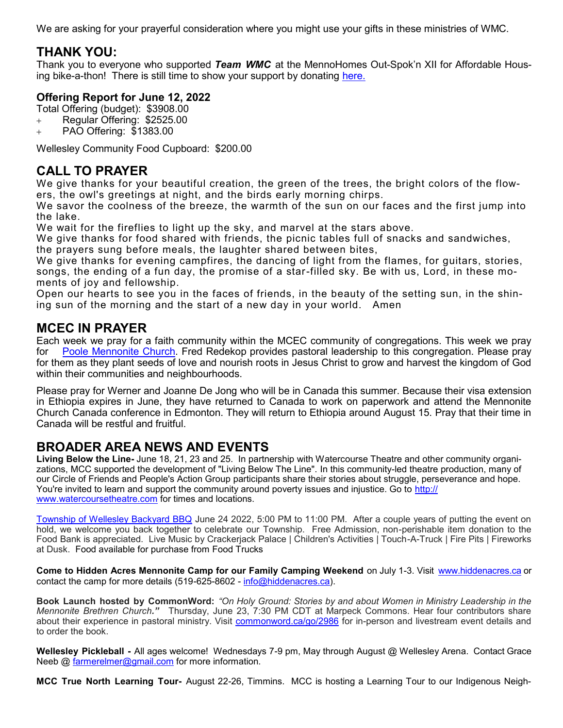We are asking for your prayerful consideration where you might use your gifts in these ministries of WMC.

## **THANK YOU:**

Thank you to everyone who supported *Team WMC* at the MennoHomes Out-Spok'[n XII for Affordable Hous](https://t.e2ma.net/click/r0dmhh/np2qvh/nt1ktt)[ing bike](https://t.e2ma.net/click/r0dmhh/np2qvh/nt1ktt)-a-thon! There is still time to show your support by donating here.

#### **Offering Report for June 12, 2022**

Total Offering (budget): \$3908.00

- + Regular Offering: \$2525.00
- + PAO Offering: \$1383.00

Wellesley Community Food Cupboard: \$200.00

## **CALL TO PRAYER**

We give thanks for your beautiful creation, the green of the trees, the bright colors of the flowers, the owl's greetings at night, and the birds early morning chirps.

We savor the coolness of the breeze, the warmth of the sun on our faces and the first jump into the lake.

We wait for the fireflies to light up the sky, and marvel at the stars above.

We give thanks for food shared with friends, the picnic tables full of snacks and sandwiches, the prayers sung before meals, the laughter shared between bites,

We give thanks for evening campfires, the dancing of light from the flames, for guitars, stories, songs, the ending of a fun day, the promise of a star-filled sky. Be with us, Lord, in these moments of joy and fellowship.

Open our hearts to see you in the faces of friends, in the beauty of the setting sun, in the shining sun of the morning and the start of a new day in your world. Amen

### **MCEC IN PRAYER**

Each week we pray for a faith community within the MCEC community of congregations. This week we pray for [Poole Mennonite Church.](https://poolechurch.ca/) Fred Redekop provides pastoral leadership to this congregation. Please pray for them as they plant seeds of love and nourish roots in Jesus Christ to grow and harvest the kingdom of God within their communities and neighbourhoods.

Please pray for Werner and Joanne De Jong who will be in Canada this summer. Because their visa extension in Ethiopia expires in June, they have returned to Canada to work on paperwork and attend the Mennonite Church Canada conference in Edmonton. They will return to Ethiopia around August 15. Pray that their time in Canada will be restful and fruitful.

## **BROADER AREA NEWS AND EVENTS**

**Living Below the Line-** June 18, 21, 23 and 25. In partnership with Watercourse Theatre and other community organizations, MCC supported the development of "Living Below The Line". In this community-led theatre production, many of our Circle of Friends and People's Action Group participants share their stories about struggle, perseverance and hope. You're invited to learn and support the community around poverty issues and injustice. Go to [http://](http://www.watercoursetheatre.com) [www.watercoursetheatre.com](http://www.watercoursetheatre.com) for times and locations.

[Township of Wellesley Backyard BBQ](http://url55.esolutionsgroup.ca/ls/click?upn=nK2lk7cYJjwdROV8yi2HC38ihq3-2FozReEtlJaMhbmXBs1G6hqZt6DYwsrnCbMy4BRyl7rQJjpnwh6034TgF9rF36HQPV02LSmNbU2Z-2BayD3sVDwRtq5zDCqdM4KrK9bxpi1q7b5AApWvB3eWJzhKgg-3D-3DMWst_U8-2FzRMA8pwK6BcKXi4HrKv5254suoco74kpMbpkEcRjyNxV) June 24 2022, 5:00 PM to 11:00 PM. After a couple years of putting the event on hold, we welcome you back together to celebrate our Township. Free Admission, non-perishable item donation to the Food Bank is appreciated. Live Music by Crackerjack Palace | Children's Activities | Touch-A-Truck | Fire Pits | Fireworks at Dusk. Food available for purchase from Food Trucks

**Come to Hidden Acres Mennonite Camp for our Family Camping Weekend** on July 1-3. Visit [www.hiddenacres.ca](http://www.hiddenacres.ca/) or contact the camp for more details (519-625-8602 - [info@hiddenacres.ca\)](mailto:info@hiddenacres.ca).

**Book Launch hosted by CommonWord:** *"On Holy Ground: Stories by and about Women in Ministry Leadership in the Mennonite Brethren Church."* Thursday, June 23, 7:30 PM CDT at Marpeck Commons. Hear four contributors share about their experience in pastoral ministry. Visit [commonword.ca/go/2986](http://commonword.ca/go/2986) for in-person and livestream event details and to order the book.

**Wellesley Pickleball -** All ages welcome! Wednesdays 7-9 pm, May through August @ Wellesley Arena. Contact Grace Neeb @ [farmerelmer@gmail.com](mailto:farmerelmer@gmail.com) for more information.

**MCC True North Learning Tour-** August 22-26, Timmins. MCC is hosting a Learning Tour to our Indigenous Neigh-